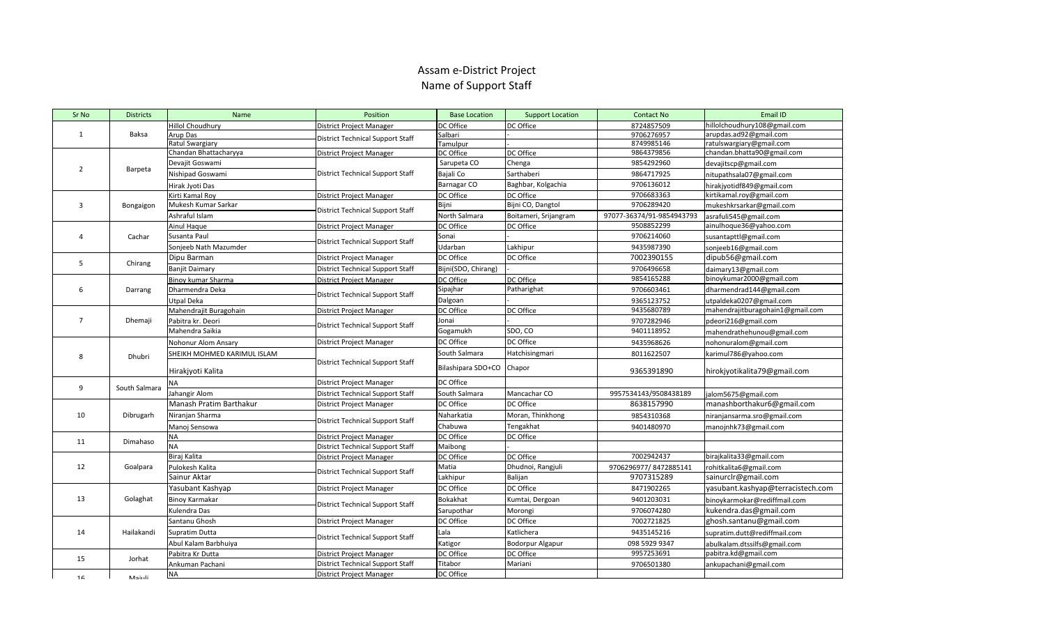## Assam <sup>e</sup>‐District Project Name of Support Staff

| Sr No          | <b>Districts</b> | Name                        | Position                                | <b>Base Location</b> | <b>Support Location</b> | <b>Contact No</b>         | Email ID                          |
|----------------|------------------|-----------------------------|-----------------------------------------|----------------------|-------------------------|---------------------------|-----------------------------------|
| 1              | Baksa            | <b>Hillol Choudhury</b>     | District Project Manager                | DC Office            | DC Office               | 8724857509                | hillolchoudhury108@gmail.com      |
|                |                  | Arup Das                    | District Technical Support Staff        | Salbari              |                         | 9706276957                | arupdas.ad92@gmail.com            |
|                |                  | Ratul Swargiary             |                                         | Tamulpur             |                         | 8749985146                | ratulswargiary@gmail.com          |
| $\overline{2}$ |                  | Chandan Bhattacharyya       | <b>District Project Manager</b>         | DC Office            | DC Office               | 9864379856                | chandan.bhatta90@gmail.com        |
|                | Barpeta          | Devajit Goswami             |                                         | Sarupeta CO          | Chenga                  | 9854292960                | devajitscp@gmail.com              |
|                |                  | Nishipad Goswami            | <b>District Technical Support Staff</b> | Bajali Co            | Sarthaberi              | 9864717925                | nitupathsala07@gmail.com          |
|                |                  | Hirak Jyoti Das             |                                         | Barnagar CO          | Baghbar, Kolgachia      | 9706136012                | hirakjyotidf849@gmail.com         |
| $\overline{3}$ | Bongaigon        | Kirti Kamal Roy             | District Project Manager                | DC Office            | DC Office               | 9706683363                | kirtikamal.roy@gmail.com          |
|                |                  | Mukesh Kumar Sarkar         | <b>District Technical Support Staff</b> | Bijni                | Bijni CO, Dangtol       | 9706289420                | mukeshkrsarkar@gmail.com          |
|                |                  | Ashraful Islam              |                                         | North Salmara        | Boitameri, Srijangram   | 97077-36374/91-9854943793 | asrafuli545@gmail.com             |
| $\overline{4}$ | Cachar           | <b>Ainul Haque</b>          | District Project Manager                | DC Office            | DC Office               | 9508852299                | ainulhoque36@yahoo.com            |
|                |                  | Susanta Paul                | <b>District Technical Support Staff</b> | Sonai                |                         | 9706214060                | susantapttl@gmail.com             |
|                |                  | Sonjeeb Nath Mazumder       |                                         | Udarban              | Lakhipur                | 9435987390                | sonjeeb16@gmail.com               |
| 5              |                  | Dipu Barman                 | District Project Manager                | DC Office            | DC Office               | 7002390155                | dipub56@gmail.com                 |
|                | Chirang          | <b>Banjit Daimary</b>       | <b>District Technical Support Staff</b> | Bijni(SDO, Chirang)  |                         | 9706496658                | daimary13@gmail.com               |
|                |                  | Binoy kumar Sharma          | <b>District Project Manager</b>         | DC Office            | <b>DC</b> Office        | 9854165288                | binoykumar2000@gmail.com          |
| 6              | Darrang          | Dharmendra Deka             |                                         | Sipajhar             | Patharighat             | 9706603461                | dharmendrad144@gmail.com          |
|                |                  | Utpal Deka                  | <b>District Technical Support Staff</b> | Dalgoan              |                         | 9365123752                | utpaldeka0207@gmail.com           |
| $\overline{7}$ |                  | Mahendrajit Buragohain      | <b>District Project Manager</b>         | DC Office            | DC Office               | 9435680789                | mahendrajitburagohain1@gmail.com  |
|                | Dhemaji          | Pabitra kr. Deori           |                                         | Jonai                |                         | 9707282946                | pdeori216@gmail.com               |
|                |                  | Mahendra Saikia             | <b>District Technical Support Staff</b> | Gogamukh             | SDO, CO                 | 9401118952                | mahendrathehunou@gmail.com        |
| 8              | Dhubri           | Nohonur Alom Ansary         | <b>District Project Manager</b>         | DC Office            | <b>DC Office</b>        | 9435968626                | nohonuralom@gmail.com             |
|                |                  | SHEIKH MOHMED KARIMUL ISLAM | <b>District Technical Support Staff</b> | South Salmara        | Hatchisingmari          | 8011622507                | karimul786@yahoo.com              |
|                |                  | Hirakjyoti Kalita           |                                         | Bilashipara SDO+CO   | Chapor                  | 9365391890                | hirokjyotikalita79@gmail.com      |
|                | South Salmara    | <b>NA</b>                   | District Project Manager                | DC Office            |                         |                           |                                   |
| 9              |                  | Jahangir Alom               | <b>District Technical Support Staff</b> | South Salmara        | Mancachar CO            | 9957534143/9508438189     | jalom5675@gmail.com               |
|                | Dibrugarh        | Manash Pratim Barthakur     | <b>District Project Manager</b>         | DC Office            | DC Office               | 8638157990                | manashborthakur6@gmail.com        |
| 10             |                  | Niranjan Sharma             | <b>District Technical Support Staff</b> | Naharkatia           | Moran, Thinkhong        | 9854310368                | niranjansarma.sro@gmail.com       |
|                |                  | Manoj Sensowa               |                                         | Chabuwa              | Tengakhat               | 9401480970                | manojnhk73@gmail.com              |
|                |                  | <b>NA</b>                   | District Project Manager                | DC Office            | DC Office               |                           |                                   |
| 11             | Dimahaso         | <b>NA</b>                   | <b>District Technical Support Staff</b> | Maibong              |                         |                           |                                   |
| 12             | Goalpara         | Biraj Kalita                | <b>District Project Manager</b>         | DC Office            | DC Office               | 7002942437                | birajkalita33@gmail.com           |
|                |                  | Pulokesh Kalita             | <b>District Technical Support Staff</b> | Matia                | Dhudnoi, Rangjuli       | 9706296977/8472885141     | rohitkalita6@gmail.com            |
|                |                  | Sainur Aktar                |                                         | Lakhipur             | Balijan                 | 9707315289                | sainurclr@gmail.com               |
| 13             | Golaghat         | Yasubant Kashyap            | District Project Manager                | DC Office            | DC Office               | 8471902265                | yasubant.kashyap@terracistech.com |
|                |                  | <b>Binoy Karmakar</b>       | <b>District Technical Support Staff</b> | <b>Bokakhat</b>      | Kumtai, Dergoan         | 9401203031                | binoykarmokar@rediffmail.com      |
|                |                  | Kulendra Das                |                                         | Sarupothar           | Morongi                 | 9706074280                | kukendra.das@gmail.com            |
| 14             | Hailakandi       | Santanu Ghosh               | District Project Manager                | DC Office            | DC Office               | 7002721825                | ghosh.santanu@gmail.com           |
|                |                  | Supratim Dutta              | <b>District Technical Support Staff</b> | Lala                 | Katlichera              | 9435145216                | supratim.dutt@rediffmail.com      |
|                |                  | Abul Kalam Barbhuiya        |                                         | Katigor              | Bodorpur Algapur        | 098 5929 9347             | abulkalam.dtssilfs@gmail.com      |
|                |                  | Pabitra Kr Dutta            | District Project Manager                | DC Office            | DC Office               | 9957253691                | pabitra.kd@gmail.com              |
| 15             | Jorhat           | Ankuman Pachani             | <b>District Technical Support Staff</b> | Titabor              | Mariani                 | 9706501380                | ankupachani@gmail.com             |
|                |                  | <b>NA</b>                   | <b>District Project Manager</b>         | DC Office            |                         |                           |                                   |
| 1 <sub>C</sub> | Mainli           |                             |                                         |                      |                         |                           |                                   |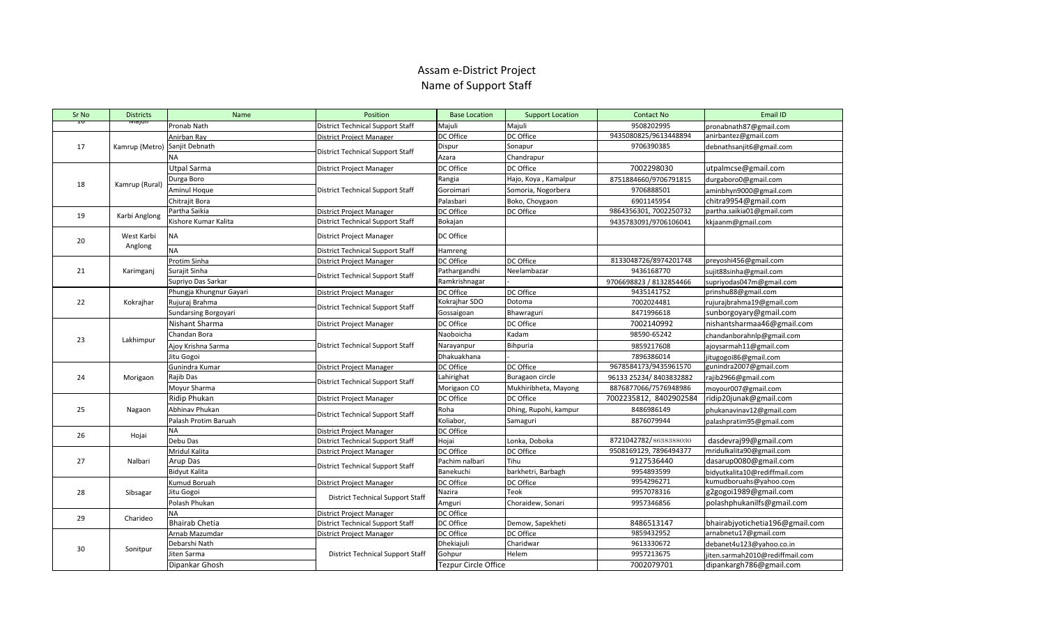## Assam <sup>e</sup>‐District Project Name of Support Staff

| Sr No | <b>Districts</b> | Name                        | Position                                | <b>Base Location</b>        | <b>Support Location</b> | <b>Contact No</b>       | Email ID                        |
|-------|------------------|-----------------------------|-----------------------------------------|-----------------------------|-------------------------|-------------------------|---------------------------------|
| ᇃ     | ागवाृप्रा        | Pronab Nath                 | <b>District Technical Support Staff</b> | Majuli                      | Majuli                  | 9508202995              | pronabnath87@gmail.com          |
| 17    |                  | Anirban Ray                 | District Project Manager                | DC Office                   | DC Office               | 9435080825/9613448894   | anirbantez@gmail.com            |
|       | Kamrup (Metro)   | Sanjit Debnath              | <b>District Technical Support Staff</b> | Dispur                      | Sonapur                 | 9706390385              | debnathsanjit6@gmail.com        |
|       |                  | <b>NA</b>                   |                                         | Azara                       | Chandrapur              |                         |                                 |
| 18    | Kamrup (Rural)   | <b>Utpal Sarma</b>          | District Project Manager                | DC Office                   | DC Office               | 7002298030              | utpalmcse@gmail.com             |
|       |                  | Durga Boro                  | <b>District Technical Support Staff</b> | Rangia                      | Hajo, Koya, Kamalpur    | 8751884660/9706791815   | durgaboro0@gmail.com            |
|       |                  | Aminul Hoque                |                                         | Goroimari                   | Somoria, Nogorbera      | 9706888501              | aminbhyn9000@gmail.com          |
|       |                  | Chitrajit Bora              |                                         | Palasbari                   | Boko, Choygaon          | 6901145954              | chitra9954@gmail.com            |
| 19    | Karbi Anglong    | Partha Saikia               | District Project Manager                | DC Office                   | DC Office               | 9864356301, 7002250732  | partha.saikia01@gmail.com       |
|       |                  | Kishore Kumar Kalita        | <b>District Technical Support Staff</b> | Bokajan                     |                         | 9435783091/9706106041   | kkjaanm@gmail.com               |
| 20    | West Karbi       | <b>NA</b>                   | District Project Manager                | DC Office                   |                         |                         |                                 |
|       | Anglong          | <b>NA</b>                   | <b>District Technical Support Staff</b> | Hamreng                     |                         |                         |                                 |
| 21    |                  | Protim Sinha                | District Project Manager                | DC Office                   | DC Office               | 8133048726/8974201748   | preyoshi456@gmail.com           |
|       | Karimganj        | Surajit Sinha               | District Technical Support Staff        | Pathargandhi                | Neelambazar             | 9436168770              | sujit88sinha@gmail.com          |
|       |                  | Supriyo Das Sarkar          |                                         | Ramkrishnagar               |                         | 9706698823 / 8132854466 | supriyodas047m@gmail.com        |
|       |                  | Phungja Khungnur Gayari     | District Project Manager                | DC Office                   | DC Office               | 9435141752              | prinshu88@gmail.com             |
| 22    | Kokrajhar        | Rujuraj Brahma              | District Technical Support Staff        | Kokrajhar SDO               | Dotoma                  | 7002024481              | rujurajbrahma19@gmail.com       |
|       |                  | <b>Sundarsing Borgoyari</b> |                                         | Gossaigoan                  | Bhawraguri              | 8471996618              | sunborgoyary@gmail.com          |
| 23    | Lakhimpur        | Nishant Sharma              | District Project Manager                | DC Office                   | DC Office               | 7002140992              | nishantsharmaa46@gmail.com      |
|       |                  | Chandan Bora                | <b>District Technical Support Staff</b> | Naoboicha                   | Kadam                   | 98590-65242             | chandanborahnlp@gmail.com       |
|       |                  | Ajoy Krishna Sarma          |                                         | Narayanpur                  | Bihpuria                | 9859217608              | ajoysarmah11@gmail.com          |
|       |                  | Jitu Gogoi                  |                                         | Dhakuakhana                 |                         | 7896386014              | itugogoi86@gmail.com            |
|       | Morigaon         | Gunindra Kumar              | District Project Manager                | DC Office                   | DC Office               | 9678584173/9435961570   | gunindra2007@gmail.com          |
| 24    |                  | Rajib Das                   | District Technical Support Staff        | Lahirighat                  | Buragaon circle         | 96133 25234/8403832882  | rajib2966@gmail.com             |
|       |                  | Moyur Sharma                |                                         | Morigaon CO                 | Mukhiribheta, Mayong    | 8876877066/7576948986   | moyour007@gmail.com             |
|       |                  | Ridip Phukan                | District Project Manager                | DC Office                   | DC Office               | 7002235812, 8402902584  | ridip20junak@gmail.com          |
| 25    | Nagaon           | Abhinav Phukan              | <b>District Technical Support Staff</b> | Roha                        | Dhing, Rupohi, kampur   | 8486986149              | phukanavinav12@gmail.com        |
|       |                  | Palash Protim Baruah        |                                         | Koliabor,                   | Samaguri                | 8876079944              | palashpratim95@gmail.com        |
|       |                  | <b>NA</b>                   | District Project Manager                | DC Office                   |                         |                         |                                 |
| 26    | Hojai            | Debu Das                    | <b>District Technical Support Staff</b> | Hojai                       | Lonka, Doboka           | 8721042782/8638388030   | dasdevraj99@gmail.com           |
| 27    | Nalbari          | Mridul Kalita               | District Project Manager                | DC Office                   | DC Office               | 9508169129, 7896494377  | mridulkalita90@gmail.com        |
|       |                  | Arup Das                    | <b>District Technical Support Staff</b> | Pachim nalbari              | Tihu                    | 9127536440              | dasarup0080@gmail.com           |
|       |                  | <b>Bidyut Kalita</b>        |                                         | Banekuchi                   | barkhetri, Barbagh      | 9954893599              | bidyutkalita10@rediffmail.com   |
| 28    | Sibsagar         | Kumud Boruah                | <b>District Project Manager</b>         | DC Office                   | DC Office               | 9954296271              | kumudboruahs@yahoo.com          |
|       |                  | Jitu Gogoi                  | <b>District Technical Support Staff</b> | Nazira                      | Teok                    | 9957078316              | g2gogoi1989@gmail.com           |
|       |                  | Polash Phukan               |                                         | Amguri                      | Choraidew, Sonari       | 9957346856              | polashphukanilfs@gmail.com      |
| 29    | Charideo         | <b>NA</b>                   | District Project Manager                | DC Office                   |                         |                         |                                 |
|       |                  | <b>Bhairab Chetia</b>       | <b>District Technical Support Staff</b> | DC Office                   | Demow, Sapekheti        | 8486513147              | bhairabjyotichetia196@gmail.com |
|       |                  | Arnab Mazumdar              | District Project Manager                | DC Office                   | DC Office               | 9859432952              | arnabnetu17@gmail.com           |
| 30    | Sonitpur         | Debarshi Nath               | <b>District Technical Support Staff</b> | Dhekiajuli                  | Charidwar               | 9613330672              | debanet4u123@yahoo.co.in        |
|       |                  | Jiten Sarma                 |                                         | Gohpur                      | Helem                   | 9957213675              | iten.sarmah2010@rediffmail.com  |
|       |                  | Dipankar Ghosh              |                                         | <b>Tezpur Circle Office</b> |                         | 7002079701              | dipankargh786@gmail.com         |